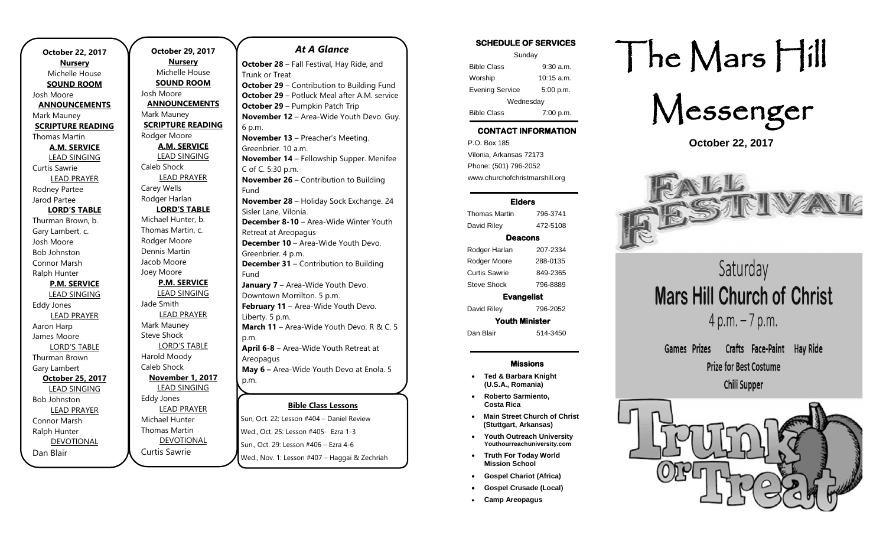| October 22, 2017         |  |  |
|--------------------------|--|--|
| <b>Nursery</b>           |  |  |
| Michelle House           |  |  |
| <b>SOUND ROOM</b>        |  |  |
| Josh Moore               |  |  |
| <b>ANNOUNCEMENTS</b>     |  |  |
| Mark Mauney              |  |  |
| <b>SCRIPTURE READING</b> |  |  |
| <b>Thomas Martin</b>     |  |  |
| <b>A.M. SERVICE</b>      |  |  |
| <b>LEAD SINGING</b>      |  |  |
| Curtis Sawrie            |  |  |
| <b>LEAD PRAYER</b>       |  |  |
| Rodney Partee            |  |  |
| Jarod Partee             |  |  |
| <b>LORD'S TABLE</b>      |  |  |
| Thurman Brown, b.        |  |  |
| Gary Lambert, c.         |  |  |
| Josh Moore               |  |  |
| <b>Bob Johnston</b>      |  |  |
| Connor Marsh             |  |  |
| Ralph Hunter             |  |  |
| <b>P.M. SERVICE</b>      |  |  |
| <u>LEAD SINGING</u>      |  |  |
| <b>Eddy Jones</b>        |  |  |
| <b>LEAD PRAYER</b>       |  |  |
| Aaron Harp               |  |  |
| James Moore              |  |  |
| <b>LORD'S TABLE</b>      |  |  |
| Thurman Brown            |  |  |
| Gary Lambert             |  |  |
| October 25, 2017         |  |  |
| <b>LEAD SINGING</b>      |  |  |
| <b>Bob Johnston</b>      |  |  |
| <b>LEAD PRAYER</b>       |  |  |
| Connor Marsh             |  |  |
| Ralph Hunter             |  |  |
| <b>DEVOTIONAL</b>        |  |  |
| Dan Blair                |  |  |

**October 29, 2017 Nursery** Michelle House **SOUND ROOM** Josh Moore **ANNOUNCEMENTS** Mark Mauney **SCRIPTURE READING** Rodger Moore **A.M. SERVICE** LEAD SINGING Caleb Shock LEAD PRAYER Carey Wells Rodger Harlan **LORD'S TABLE** Michael Hunter, b. Thomas Martin, c. Rodger Moore Dennis Martin Jacob Moore Joey Moore **P.M. SERVICE** LEAD SINGING Jade Smith LEAD PRAYER Mark Mauney Steve Shock LORD'S TABLE Harold Moody Caleb Shock **November 1, 2017** LEAD SINGING Eddy Jones LEAD PRAYER Michael Hunter Thomas Martin DEVOTIONAL Curtis Sawrie

### **Bible Class Lessons July 8-13, 2018 –** Gospel Gathering Sun, Oct. 22: Lesson #404 – Daniel Review *At A Glance*  **October 28** – Fall Festival, Hay Ride, and Trunk or Treat **October 29** – Contribution to Building Fund **October 29** – Potluck Meal after A.M. service **October 29** – Pumpkin Patch Trip **November 12** – Area-Wide Youth Devo. Guy. 6 p.m. **November 13** – Preacher's Meeting. Greenbrier. 10 a.m. **November 14** – Fellowship Supper. Menifee C of C. 5:30 p.m. **November 26 – Contribution to Building** Fund **November 28** – Holiday Sock Exchange. 24 Sisler Lane, Vilonia. **December 8-10** – Area-Wide Winter Youth Retreat at Areopagus **December 10** – Area-Wide Youth Devo. Greenbrier. 4 p.m. **December 31 – Contribution to Building** Fund **January 7** – Area-Wide Youth Devo. Downtown Morrilton. 5 p.m. **February 11** – Area-Wide Youth Devo. Liberty. 5 p.m. **March 11** – Area-Wide Youth Devo. R & C. 5 p.m. **April 6-8** – Area-Wide Youth Retreat at Areopagus **May 6 –** Area-Wide Youth Devo at Enola. 5 p.m. **July 10**

Wed., Oct. 25: Lesson #405- Ezra 1-3 Sun., Oct. 29: Lesson #406 – Ezra 4-6 Wed., Nov. 1: Lesson #407 – Haggai & Zechriah

### SCHEDULE OF SERVICES

| Sunday                 |              |  |
|------------------------|--------------|--|
| <b>Bible Class</b>     | $9:30$ a.m.  |  |
| Worship                | $10:15$ a.m. |  |
| <b>Evening Service</b> | 5:00 p.m.    |  |
| Wednesday              |              |  |
| <b>Bible Class</b>     | 7:00 p.m.    |  |

# CONTACT INFORMATION

. .o. Box 166<br>Vilonia, Arkansas 72173 P.O. Box 185 Phone: (501) 796-2052 www.churchofchristmarshill.org

### Elders

## Thomas Martin 796-3741 David Riley 472-5108 Deacons Rodger Harlan 207-2334 Rodger Moore 288-0135 Curtis Sawrie 849-2365 Steve Shock 796-8889 Evangelist

David Riley 796-2052 Youth Minister

Dan Blair 514-3450

#### Missions

- **Ted & Barbara Knight (U.S.A., Romania)**
- **Roberto Sarmiento, Costa Rica**
- **Main Street Church of Christ (Stuttgart, Arkansas)**
- **Youth Outreach University Youthourreachuniversity.com**
- **Truth For Today World Mission School**
- **Gospel Chariot (Africa)**
- **Gospel Crusade (Local)**
- **Camp Areopagus**

# The Mars Hill



**October 22, 2017**



Saturday **Mars Hill Church of Christ**  $4 p.m. - 7 p.m.$ 

Crafts Face-Paint Hav Ride Games Prizes **Prize for Best Costume Chili Supper**